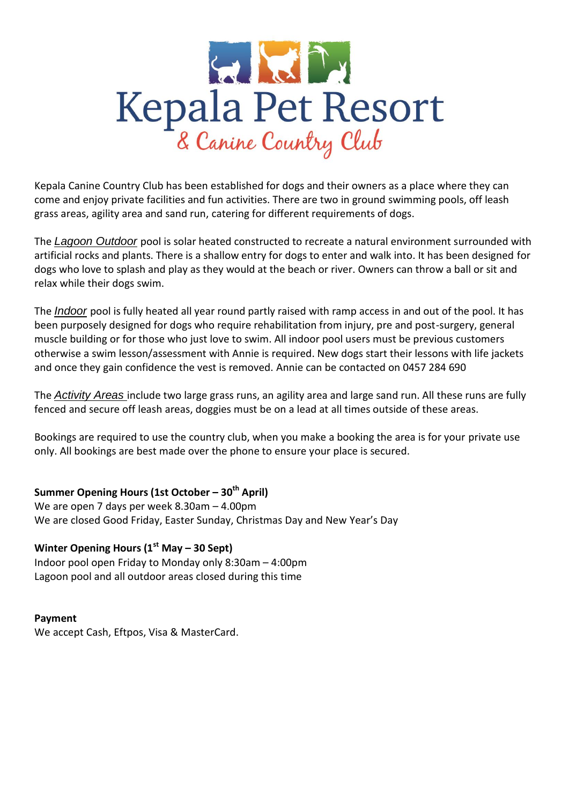

Kepala Canine Country Club has been established for dogs and their owners as a place where they can come and enjoy private facilities and fun activities. There are two in ground swimming pools, off leash grass areas, agility area and sand run, catering for different requirements of dogs.

The *Lagoon Outdoor* pool is solar heated constructed to recreate a natural environment surrounded with artificial rocks and plants. There is a shallow entry for dogs to enter and walk into. It has been designed for dogs who love to splash and play as they would at the beach or river. Owners can throw a ball or sit and relax while their dogs swim.

The *Indoor* pool is fully heated all year round partly raised with ramp access in and out of the pool. It has been purposely designed for dogs who require rehabilitation from injury, pre and post-surgery, general muscle building or for those who just love to swim. All indoor pool users must be previous customers otherwise a swim lesson/assessment with Annie is required. New dogs start their lessons with life jackets and once they gain confidence the vest is removed. Annie can be contacted on 0457 284 690

The *Activity Areas* include two large grass runs, an agility area and large sand run. All these runs are fully fenced and secure off leash areas, doggies must be on a lead at all times outside of these areas.

Bookings are required to use the country club, when you make a booking the area is for your private use only. All bookings are best made over the phone to ensure your place is secured.

## **Summer Opening Hours (1st October – 30th April)**

We are open 7 days per week 8.30am – 4.00pm We are closed Good Friday, Easter Sunday, Christmas Day and New Year's Day

## **Winter Opening Hours (1st May – 30 Sept)**

Indoor pool open Friday to Monday only 8:30am – 4:00pm Lagoon pool and all outdoor areas closed during this time

### **Payment**

We accept Cash, Eftpos, Visa & MasterCard.